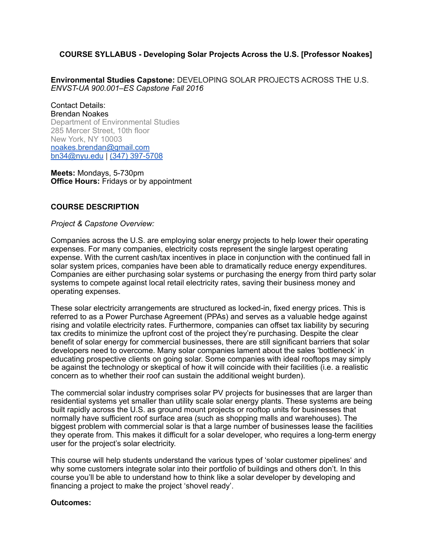# **COURSE SYLLABUS - Developing Solar Projects Across the U.S. [Professor Noakes]**

**Environmental Studies Capstone:** DEVELOPING SOLAR PROJECTS ACROSS THE U.S. *ENVST-UA 900.001–ES Capstone Fall 2016*

Contact Details: Brendan Noakes Department of Environmental Studies 285 Mercer Street, 10th floor New York, NY 10003 [noakes.brendan@gmail.com](mailto:noakes.brendan@gmail.com) [bn34@nyu.edu](mailto:cw104@nyu.edu) | (347) 397-5708

**Meets:** Mondays, 5-730pm **Office Hours:** Fridays or by appointment

# **COURSE DESCRIPTION**

*Project & Capstone Overview:* 

Companies across the U.S. are employing solar energy projects to help lower their operating expenses. For many companies, electricity costs represent the single largest operating expense. With the current cash/tax incentives in place in conjunction with the continued fall in solar system prices, companies have been able to dramatically reduce energy expenditures. Companies are either purchasing solar systems or purchasing the energy from third party solar systems to compete against local retail electricity rates, saving their business money and operating expenses.

These solar electricity arrangements are structured as locked-in, fixed energy prices. This is referred to as a Power Purchase Agreement (PPAs) and serves as a valuable hedge against rising and volatile electricity rates. Furthermore, companies can offset tax liability by securing tax credits to minimize the upfront cost of the project they're purchasing. Despite the clear benefit of solar energy for commercial businesses, there are still significant barriers that solar developers need to overcome. Many solar companies lament about the sales 'bottleneck' in educating prospective clients on going solar. Some companies with ideal rooftops may simply be against the technology or skeptical of how it will coincide with their facilities (i.e. a realistic concern as to whether their roof can sustain the additional weight burden).

The commercial solar industry comprises solar PV projects for businesses that are larger than residential systems yet smaller than utility scale solar energy plants. These systems are being built rapidly across the U.S. as ground mount projects or rooftop units for businesses that normally have sufficient roof surface area (such as shopping malls and warehouses). The biggest problem with commercial solar is that a large number of businesses lease the facilities they operate from. This makes it difficult for a solar developer, who requires a long-term energy user for the project's solar electricity.

This course will help students understand the various types of 'solar customer pipelines' and why some customers integrate solar into their portfolio of buildings and others don't. In this course you'll be able to understand how to think like a solar developer by developing and financing a project to make the project 'shovel ready'.

#### **Outcomes:**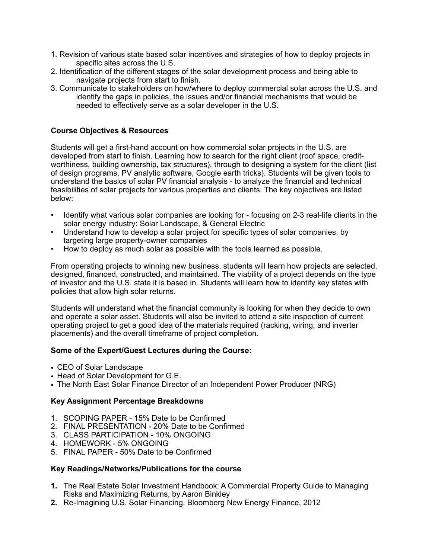- 1. Revision of various state based solar incentives and strategies of how to deploy projects in specific sites across the U.S.
- 2. Identification of the different stages of the solar development process and being able to navigate projects from start to finish.
- 3. Communicate to stakeholders on how/where to deploy commercial solar across the U.S. and identify the gaps in policies, the issues and/or financial mechanisms that would be needed to effectively serve as a solar developer in the U.S.

# **Course Objectives & Resources**

Students will get a first-hand account on how commercial solar projects in the U.S. are developed from start to finish. Learning how to search for the right client (roof space, creditworthiness, building ownership, tax structures), through to designing a system for the client (list of design programs, PV analytic software, Google earth tricks). Students will be given tools to understand the basics of solar PV financial analysis - to analyze the financial and technical feasibilities of solar projects for various properties and clients. The key objectives are listed below:

- Identify what various solar companies are looking for focusing on 2-3 real-life clients in the solar energy industry: Solar Landscape, & General Electric
- Understand how to develop a solar project for specific types of solar companies, by targeting large property-owner companies
- How to deploy as much solar as possible with the tools learned as possible.

From operating projects to winning new business, students will learn how projects are selected, designed, financed, constructed, and maintained. The viability of a project depends on the type of investor and the U.S. state it is based in. Students will learn how to identify key states with policies that allow high solar returns.

Students will understand what the financial community is looking for when they decide to own and operate a solar asset. Students will also be invited to attend a site inspection of current operating project to get a good idea of the materials required (racking, wiring, and inverter placements) and the overall timeframe of project completion.

#### **Some of the Expert/Guest Lectures during the Course:**

- CEO of Solar Landscape
- Head of Solar Development for G.E.
- The North East Solar Finance Director of an Independent Power Producer (NRG)

# **Key Assignment Percentage Breakdowns**

- 1. SCOPING PAPER 15% Date to be Confirmed
- 2. FINAL PRESENTATION 20% Date to be Confirmed
- 3. CLASS PARTICIPATION 10% ONGOING
- 4. HOMEWORK 5% ONGOING
- 5. FINAL PAPER 50% Date to be Confirmed

#### **Key Readings/Networks/Publications for the course**

- **1.** The Real Estate Solar Investment Handbook: A Commercial Property Guide to Managing Risks and Maximizing Returns, by Aaron Binkley
- **2.** Re-Imagining U.S. Solar Financing, Bloomberg New Energy Finance, 2012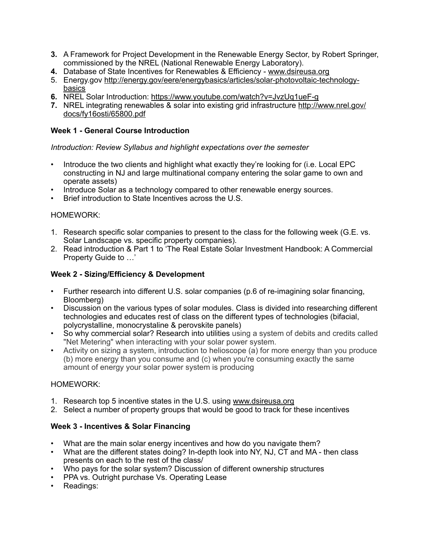- **3.** A Framework for Project Development in the Renewable Energy Sector, by Robert Springer, commissioned by the NREL (National Renewable Energy Laboratory).
- **4.** Database of State Incentives for Renewables & Efficiency - [www.dsireusa.org](http://www.dsireusa.org)
- 5. [Energy.gov http://energy.gov/eere/energybasics/articles/solar-photovoltaic-technology](http://energy.gov/eere/energybasics/articles/solar-photovoltaic-technology-basics)basics
- **6.** NREL Solar Introduction:<https://www.youtube.com/watch?v=JvzUq1ueF-g>
- **7.** [NREL integrating renewables & solar into existing grid infrastructure http://www.nrel.gov/](http://www.nrel.gov/docs/fy16osti/65800.pdf) docs/fy16osti/65800.pdf

## **Week 1 - General Course Introduction**

*Introduction: Review Syllabus and highlight expectations over the semester*

- Introduce the two clients and highlight what exactly they're looking for (i.e. Local EPC constructing in NJ and large multinational company entering the solar game to own and operate assets)
- Introduce Solar as a technology compared to other renewable energy sources.
- Brief introduction to State Incentives across the U.S.

### HOMEWORK:

- 1. Research specific solar companies to present to the class for the following week (G.E. vs. Solar Landscape vs. specific property companies).
- 2. Read introduction & Part 1 to 'The Real Estate Solar Investment Handbook: A Commercial Property Guide to …'

### **Week 2 - Sizing/Efficiency & Development**

- Further research into different U.S. solar companies (p.6 of re-imagining solar financing, Bloomberg)
- Discussion on the various types of solar modules. Class is divided into researching different technologies and educates rest of class on the different types of technologies (bifacial, polycrystalline, monocrystaline & perovskite panels)
- So why commercial solar? Research into utilities using a system of debits and credits called "Net Metering" when interacting with your solar power system.
- Activity on sizing a system, introduction to helioscope (a) for more energy than you produce (b) more energy than you consume and (c) when you're consuming exactly the same amount of energy your solar power system is producing

#### HOMEWORK:

- 1. Research top 5 incentive states in the U.S. using [www.dsireusa.org](http://www.dsireusa.org)
- 2. Select a number of property groups that would be good to track for these incentives

# **Week 3 - Incentives & Solar Financing**

- What are the main solar energy incentives and how do you navigate them?
- What are the different states doing? In-depth look into NY, NJ, CT and MA then class presents on each to the rest of the class/
- Who pays for the solar system? Discussion of different ownership structures
- PPA vs. Outright purchase Vs. Operating Lease
- Readings: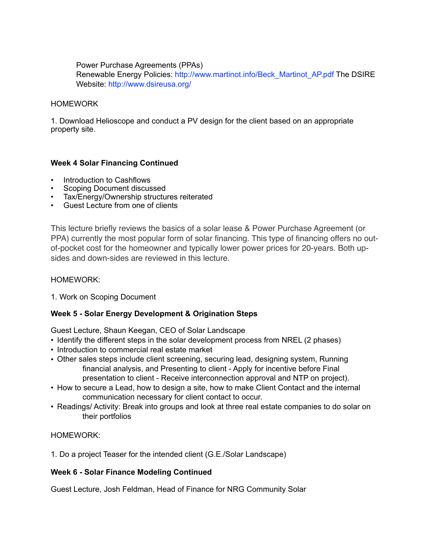Power Purchase Agreements (PPAs) Renewable Energy Policies: http://www.martinot.info/Beck\_Martinot\_AP.pdf The DSIRE Website: http://www.dsireusa.org/

### HOMEWORK

1. Download Helioscope and conduct a PV design for the client based on an appropriate property site.

# **Week 4 Solar Financing Continued**

- Introduction to Cashflows
- Scoping Document discussed
- Tax/Energy/Ownership structures reiterated
- Guest Lecture from one of clients

This lecture briefly reviews the basics of a solar lease & Power Purchase Agreement (or PPA) currently the most popular form of solar financing. This type of financing offers no outof-pocket cost for the homeowner and typically lower power prices for 20-years. Both upsides and down-sides are reviewed in this lecture.

#### HOMEWORK:

1. Work on Scoping Document

# **Week 5 - Solar Energy Development & Origination Steps**

Guest Lecture, Shaun Keegan, CEO of Solar Landscape

- Identify the different steps in the solar development process from NREL (2 phases)
- Introduction to commercial real estate market
- Other sales steps include client screening, securing lead, designing system, Running financial analysis, and Presenting to client - Apply for incentive before Final presentation to client - Receive interconnection approval and NTP on project).
- How to secure a Lead, how to design a site, how to make Client Contact and the internal communication necessary for client contact to occur.
- Readings/ Activity: Break into groups and look at three real estate companies to do solar on their portfolios

# HOMEWORK:

1. Do a project Teaser for the intended client (G.E./Solar Landscape)

#### **Week 6 - Solar Finance Modeling Continued**

Guest Lecture, Josh Feldman, Head of Finance for NRG Community Solar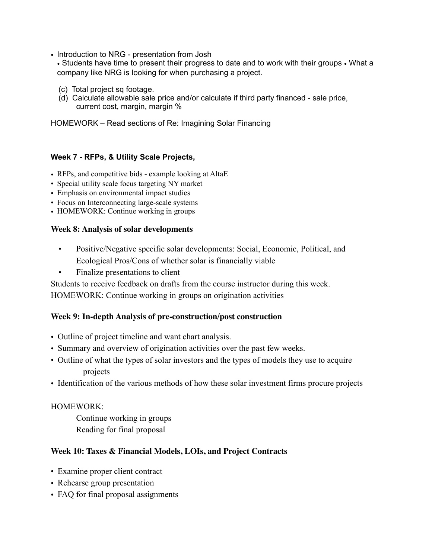• Introduction to NRG - presentation from Josh

• Students have time to present their progress to date and to work with their groups • What a company like NRG is looking for when purchasing a project.

- (c) Total project sq footage.
- (d) Calculate allowable sale price and/or calculate if third party financed sale price, current cost, margin, margin %

HOMEWORK – Read sections of Re: Imagining Solar Financing

# **Week 7 - RFPs, & Utility Scale Projects,**

- RFPs, and competitive bids example looking at AltaE
- Special utility scale focus targeting NY market
- Emphasis on environmental impact studies
- Focus on Interconnecting large-scale systems
- HOMEWORK: Continue working in groups

### **Week 8: Analysis of solar developments**

- Positive/Negative specific solar developments: Social, Economic, Political, and Ecological Pros/Cons of whether solar is financially viable
- Finalize presentations to client

Students to receive feedback on drafts from the course instructor during this week.

HOMEWORK: Continue working in groups on origination activities

# **Week 9: In-depth Analysis of pre-construction/post construction**

- Outline of project timeline and want chart analysis.
- Summary and overview of origination activities over the past few weeks.
- Outline of what the types of solar investors and the types of models they use to acquire projects
- Identification of the various methods of how these solar investment firms procure projects

# HOMEWORK:

Continue working in groups Reading for final proposal

# **Week 10: Taxes & Financial Models, LOIs, and Project Contracts**

- Examine proper client contract
- Rehearse group presentation
- FAQ for final proposal assignments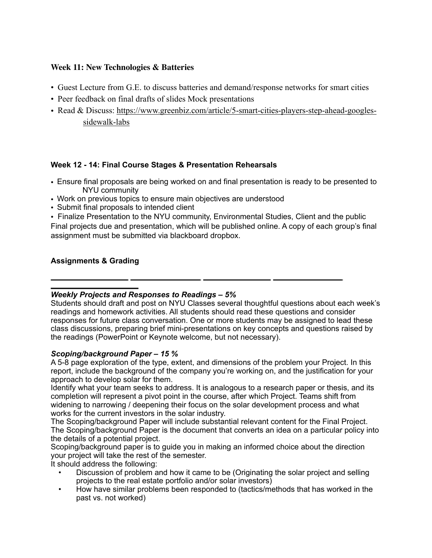# **Week 11: New Technologies & Batteries**

- Guest Lecture from G.E. to discuss batteries and demand/response networks for smart cities
- Peer feedback on final drafts of slides Mock presentations
- Read [& Discuss: https://www.greenbiz.com/article/5-smart-cities-players-step-ahead-googles](https://www.greenbiz.com/article/5-smart-cities-players-step-ahead-googles-sidewalk-labs)sidewalk-labs

# **Week 12 - 14: Final Course Stages & Presentation Rehearsals**

- Ensure final proposals are being worked on and final presentation is ready to be presented to NYU community
- Work on previous topics to ensure main objectives are understood
- Submit final proposals to intended client

• Finalize Presentation to the NYU community, Environmental Studies, Client and the public Final projects due and presentation, which will be published online. A copy of each group's final assignment must be submitted via blackboard dropbox.

# **Assignments & Grading**

# *Weekly Projects and Responses to Readings – 5%*

Students should draft and post on NYU Classes several thoughtful questions about each week's readings and homework activities. All students should read these questions and consider responses for future class conversation. One or more students may be assigned to lead these class discussions, preparing brief mini-presentations on key concepts and questions raised by the readings (PowerPoint or Keynote welcome, but not necessary).

#### *Scoping/background Paper – 15 %*

A 5-8 page exploration of the type, extent, and dimensions of the problem your Project. In this report, include the background of the company you're working on, and the justification for your approach to develop solar for them.

Identify what your team seeks to address. It is analogous to a research paper or thesis, and its completion will represent a pivot point in the course, after which Project. Teams shift from widening to narrowing / deepening their focus on the solar development process and what works for the current investors in the solar industry.

The Scoping/background Paper will include substantial relevant content for the Final Project. The Scoping/background Paper is the document that converts an idea on a particular policy into the details of a potential project.

Scoping/background paper is to guide you in making an informed choice about the direction your project will take the rest of the semester.

It should address the following:

- Discussion of problem and how it came to be (Originating the solar project and selling projects to the real estate portfolio and/or solar investors)
- How have similar problems been responded to (tactics/methods that has worked in the past vs. not worked)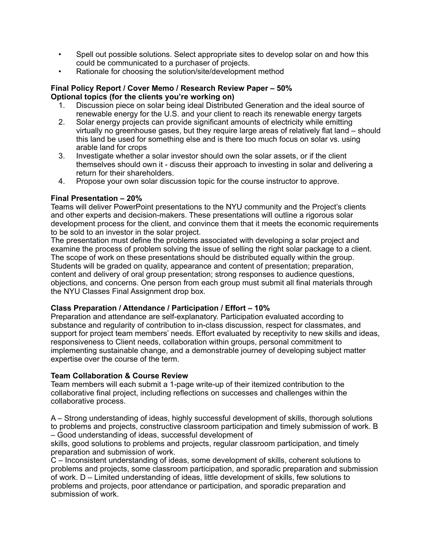- Spell out possible solutions. Select appropriate sites to develop solar on and how this could be communicated to a purchaser of projects.
- Rationale for choosing the solution/site/development method

## **Final Policy Report / Cover Memo / Research Review Paper – 50% Optional topics (for the clients you're working on)**

- 1. Discussion piece on solar being ideal Distributed Generation and the ideal source of renewable energy for the U.S. and your client to reach its renewable energy targets
- 2. Solar energy projects can provide significant amounts of electricity while emitting virtually no greenhouse gases, but they require large areas of relatively flat land – should this land be used for something else and is there too much focus on solar vs. using arable land for crops
- 3. Investigate whether a solar investor should own the solar assets, or if the client themselves should own it - discuss their approach to investing in solar and delivering a return for their shareholders.
- 4. Propose your own solar discussion topic for the course instructor to approve.

# **Final Presentation – 20%**

Teams will deliver PowerPoint presentations to the NYU community and the Project's clients and other experts and decision-makers. These presentations will outline a rigorous solar development process for the client, and convince them that it meets the economic requirements to be sold to an investor in the solar project.

The presentation must define the problems associated with developing a solar project and examine the process of problem solving the issue of selling the right solar package to a client. The scope of work on these presentations should be distributed equally within the group. Students will be graded on quality, appearance and content of presentation; preparation, content and delivery of oral group presentation; strong responses to audience questions, objections, and concerns. One person from each group must submit all final materials through the NYU Classes Final Assignment drop box.

# **Class Preparation / Attendance / Participation / Effort – 10%**

Preparation and attendance are self-explanatory. Participation evaluated according to substance and regularity of contribution to in-class discussion, respect for classmates, and support for project team members' needs. Effort evaluated by receptivity to new skills and ideas, responsiveness to Client needs, collaboration within groups, personal commitment to implementing sustainable change, and a demonstrable journey of developing subject matter expertise over the course of the term.

# **Team Collaboration & Course Review**

Team members will each submit a 1-page write-up of their itemized contribution to the collaborative final project, including reflections on successes and challenges within the collaborative process.

A – Strong understanding of ideas, highly successful development of skills, thorough solutions to problems and projects, constructive classroom participation and timely submission of work. B – Good understanding of ideas, successful development of

skills, good solutions to problems and projects, regular classroom participation, and timely preparation and submission of work.

C – Inconsistent understanding of ideas, some development of skills, coherent solutions to problems and projects, some classroom participation, and sporadic preparation and submission of work. D – Limited understanding of ideas, little development of skills, few solutions to problems and projects, poor attendance or participation, and sporadic preparation and submission of work.